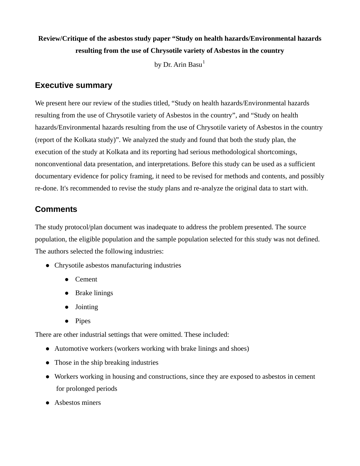# **Review/Critique of the asbestos study paper "Study on health hazards/Environmental hazards resulting from the use of Chrysotile variety of Asbestos in the country**

by Dr. Arin Basu $<sup>1</sup>$  $<sup>1</sup>$  $<sup>1</sup>$ </sup>

### **Executive summary**

We present here our review of the studies titled, "Study on health hazards/Environmental hazards resulting from the use of Chrysotile variety of Asbestos in the country", and "Study on health hazards/Environmental hazards resulting from the use of Chrysotile variety of Asbestos in the country (report of the Kolkata study)". We analyzed the study and found that both the study plan, the execution of the study at Kolkata and its reporting had serious methodological shortcomings, nonconventional data presentation, and interpretations. Before this study can be used as a sufficient documentary evidence for policy framing, it need to be revised for methods and contents, and possibly re-done. It's recommended to revise the study plans and re-analyze the original data to start with.

## **Comments**

The study protocol/plan document was inadequate to address the problem presented. The source population, the eligible population and the sample population selected for this study was not defined. The authors selected the following industries:

- Chrysotile asbestos manufacturing industries
	- Cement
	- Brake linings
	- $\bullet$  Jointing
	- $\bullet$  Pipes

There are other industrial settings that were omitted. These included:

- Automotive workers (workers working with brake linings and shoes)
- $\bullet$  Those in the ship breaking industries
- Workers working in housing and constructions, since they are exposed to asbestos in cement for prolonged periods
- <span id="page-0-0"></span> $\bullet$  Asbestos miners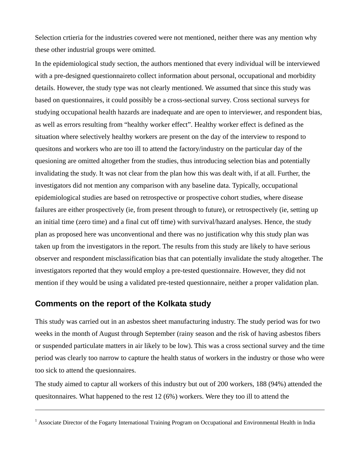Selection crtieria for the industries covered were not mentioned, neither there was any mention why these other industrial groups were omitted.

In the epidemiological study section, the authors mentioned that every individual will be interviewed with a pre-designed questionnaireto collect information about personal, occupational and morbidity details. However, the study type was not clearly mentioned. We assumed that since this study was based on questionnaires, it could possibly be a cross-sectional survey. Cross sectional surveys for studying occupational health hazards are inadequate and are open to interviewer, and respondent bias, as well as errors resulting from "healthy worker effect". Healthy worker effect is defined as the situation where selectively healthy workers are present on the day of the interview to respond to quesitons and workers who are too ill to attend the factory/industry on the particular day of the quesioning are omitted altogether from the studies, thus introducing selection bias and potentially invalidating the study. It was not clear from the plan how this was dealt with, if at all. Further, the investigators did not mention any comparison with any baseline data. Typically, occupational epidemiological studies are based on retrospective or prospective cohort studies, where disease failures are either prospectively (ie, from present through to future), or retrospectively (ie, setting up an initial time (zero time) and a final cut off time) with survival/hazard analyses. Hence, the study plan as proposed here was unconventional and there was no justification why this study plan was taken up from the investigators in the report. The results from this study are likely to have serious observer and respondent misclassification bias that can potentially invalidate the study altogether. The investigators reported that they would employ a pre-tested questionnaire. However, they did not mention if they would be using a validated pre-tested questionnaire, neither a proper validation plan.

#### **Comments on the report of the Kolkata study**

 $\overline{a}$ 

This study was carried out in an asbestos sheet manufacturing industry. The study period was for two weeks in the month of August through September (rainy season and the risk of having asbestos fibers or suspended particulate matters in air likely to be low). This was a cross sectional survey and the time period was clearly too narrow to capture the health status of workers in the industry or those who were too sick to attend the quesionnaires.

The study aimed to captur all workers of this industry but out of 200 workers, 188 (94%) attended the quesitonnaires. What happened to the rest 12 (6%) workers. Were they too ill to attend the

<sup>&</sup>lt;sup>1</sup> Associate Director of the Fogarty International Training Program on Occupational and Environmental Health in India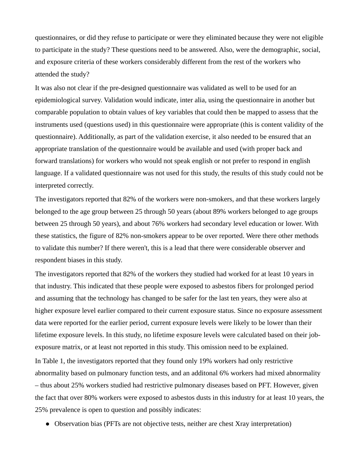questionnaires, or did they refuse to participate or were they eliminated because they were not eligible to participate in the study? These questions need to be answered. Also, were the demographic, social, and exposure criteria of these workers considerably different from the rest of the workers who attended the study?

It was also not clear if the pre-designed questionnaire was validated as well to be used for an epidemiological survey. Validation would indicate, inter alia, using the questionnaire in another but comparable population to obtain values of key variables that could then be mapped to assess that the instruments used (questions used) in this questionnaire were appropriate (this is content validity of the questionnaire). Additionally, as part of the validation exercise, it also needed to be ensured that an appropriate translation of the questionnaire would be available and used (with proper back and forward translations) for workers who would not speak english or not prefer to respond in english language. If a validated questionnaire was not used for this study, the results of this study could not be interpreted correctly.

The investigators reported that 82% of the workers were non-smokers, and that these workers largely belonged to the age group between 25 through 50 years (about 89% workers belonged to age groups between 25 through 50 years), and about 76% workers had secondary level education or lower. With these statistics, the figure of 82% non-smokers appear to be over reported. Were there other methods to validate this number? If there weren't, this is a lead that there were considerable observer and respondent biases in this study.

The investigators reported that 82% of the workers they studied had worked for at least 10 years in that industry. This indicated that these people were exposed to asbestos fibers for prolonged period and assuming that the technology has changed to be safer for the last ten years, they were also at higher exposure level earlier compared to their current exposure status. Since no exposure assessment data were reported for the earlier period, current exposure levels were likely to be lower than their lifetime exposure levels. In this study, no lifetime exposure levels were calculated based on their jobexposure matrix, or at least not reported in this study. This omission need to be explained. In Table 1, the investigators reported that they found only 19% workers had only restrictive abnormality based on pulmonary function tests, and an additonal 6% workers had mixed abnormality – thus about 25% workers studied had restrictive pulmonary diseases based on PFT. However, given the fact that over 80% workers were exposed to asbestos dusts in this industry for at least 10 years, the 25% prevalence is open to question and possibly indicates:

• Observation bias (PFTs are not objective tests, neither are chest Xray interpretation)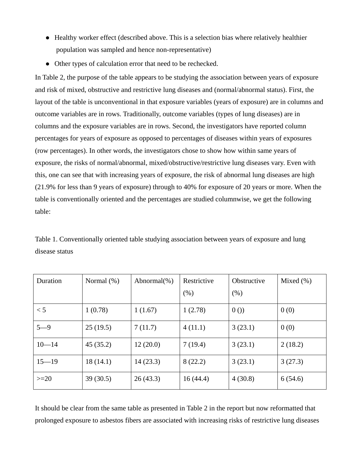- Healthy worker effect (described above. This is a selection bias where relatively healthier population was sampled and hence non-representative)
- Other types of calculation error that need to be rechecked.

In Table 2, the purpose of the table appears to be studying the association between years of exposure and risk of mixed, obstructive and restrictive lung diseases and (normal/abnormal status). First, the layout of the table is unconventional in that exposure variables (years of exposure) are in columns and outcome variables are in rows. Traditionally, outcome variables (types of lung diseases) are in columns and the exposure variables are in rows. Second, the investigators have reported column percentages for years of exposure as opposed to percentages of diseases within years of exposures (row percentages). In other words, the investigators chose to show how within same years of exposure, the risks of normal/abnormal, mixed/obstructive/restrictive lung diseases vary. Even with this, one can see that with increasing years of exposure, the risk of abnormal lung diseases are high (21.9% for less than 9 years of exposure) through to 40% for exposure of 20 years or more. When the table is conventionally oriented and the percentages are studied columnwise, we get the following table:

Table 1. Conventionally oriented table studying association between years of exposure and lung disease status

| Duration  | Normal $(\%)$ | Abnormal $(\%)$ | Restrictive | Obstructive | Mixed $(\% )$ |
|-----------|---------------|-----------------|-------------|-------------|---------------|
|           |               |                 | (% )        | (% )        |               |
| < 5       | 1(0.78)       | 1(1.67)         | 1(2.78)     | 0()         | 0(0)          |
| $5 - 9$   | 25(19.5)      | 7(11.7)         | 4(11.1)     | 3(23.1)     | 0(0)          |
| $10 - 14$ | 45(35.2)      | 12(20.0)        | 7(19.4)     | 3(23.1)     | 2(18.2)       |
| $15 - 19$ | 18(14.1)      | 14(23.3)        | 8(22.2)     | 3(23.1)     | 3(27.3)       |
| $>=20$    | 39(30.5)      | 26(43.3)        | 16(44.4)    | 4(30.8)     | 6(54.6)       |

It should be clear from the same table as presented in Table 2 in the report but now reformatted that prolonged exposure to asbestos fibers are associated with increasing risks of restrictive lung diseases